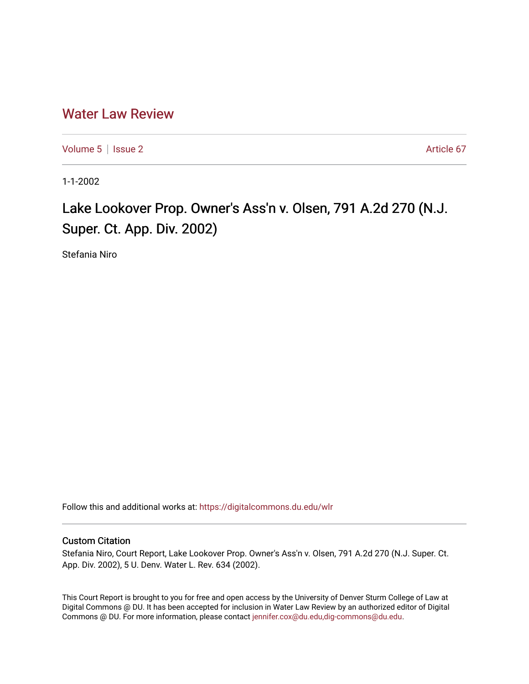## [Water Law Review](https://digitalcommons.du.edu/wlr)

[Volume 5](https://digitalcommons.du.edu/wlr/vol5) | [Issue 2](https://digitalcommons.du.edu/wlr/vol5/iss2) Article 67

1-1-2002

## Lake Lookover Prop. Owner's Ass'n v. Olsen, 791 A.2d 270 (N.J. Super. Ct. App. Div. 2002)

Stefania Niro

Follow this and additional works at: [https://digitalcommons.du.edu/wlr](https://digitalcommons.du.edu/wlr?utm_source=digitalcommons.du.edu%2Fwlr%2Fvol5%2Fiss2%2F67&utm_medium=PDF&utm_campaign=PDFCoverPages) 

## Custom Citation

Stefania Niro, Court Report, Lake Lookover Prop. Owner's Ass'n v. Olsen, 791 A.2d 270 (N.J. Super. Ct. App. Div. 2002), 5 U. Denv. Water L. Rev. 634 (2002).

This Court Report is brought to you for free and open access by the University of Denver Sturm College of Law at Digital Commons @ DU. It has been accepted for inclusion in Water Law Review by an authorized editor of Digital Commons @ DU. For more information, please contact [jennifer.cox@du.edu,dig-commons@du.edu.](mailto:jennifer.cox@du.edu,dig-commons@du.edu)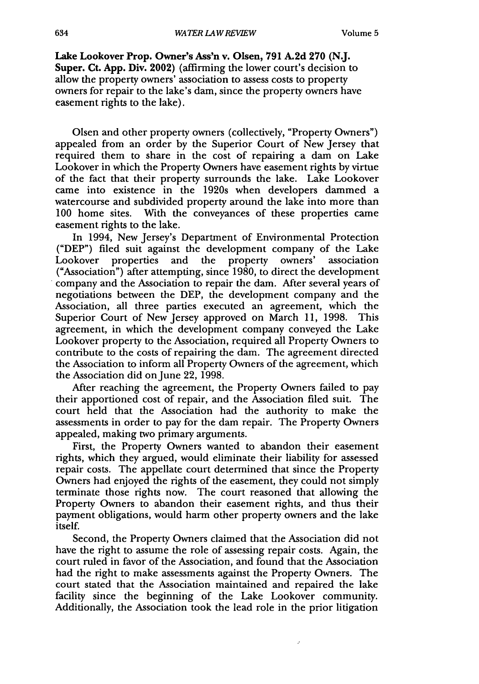Lake Lookover Prop. Owner's Ass'n v. Olsen, **791 A.2d 270 (N.J.** Super. Ct. **App.** Div. 2002) (affirming the lower court's decision to allow the property owners' association to assess costs to property owners for repair to the lake's dam, since the property owners have easement rights to the lake).

Olsen and other property owners (collectively, "Property Owners") appealed from an order by the Superior Court of New Jersey that required them to share in the cost of repairing a dam on Lake Lookover in which the Property Owners have easement rights by virtue of the fact that their property surrounds the lake. Lake Lookover came into existence in the 1920s when developers dammed a watercourse and subdivided property around the lake into more than 100 home sites. With the conveyances of these properties came easement rights to the lake.

In 1994, New Jersey's Department of Environmental Protection ("DEP") filed suit against the development company of the Lake Lookover properties and the property owners' association ("Association") after attempting, since 1980, to direct the development company and the Association to repair the dam. After several years of negotiations between the DEP, the development company and the Association, all three parties executed an agreement, which the Superior Court of New Jersey approved on March 11, 1998. This agreement, in which the development company conveyed the Lake Lookover property to the Association, required all Property Owners to contribute to the costs of repairing the dam. The agreement directed the Association to inform all Property Owners of the agreement, which the Association did on June 22, 1998.

After reaching the agreement, the Property Owners failed to pay their apportioned cost of repair, and the Association filed suit. The court held that the Association had the authority to make the assessments in order to pay for the dam repair. The Property Owners appealed, making two primary arguments.

First, the Property Owners wanted to abandon their easement rights, which they argued, would eliminate their liability for assessed repair costs. The appellate court determined that since the Property Owners had enjoyed the rights of the easement, they could not simply terminate those rights now. The court reasoned that allowing the Property Owners to abandon their easement rights, and thus their payment obligations, would harm other property owners and the lake itself.

Second, the Property Owners claimed that the Association did not have the right to assume the role of assessing repair costs. Again, the court ruled in favor of the Association, and found that the Association had the right to make assessments against the Property Owners. The court stated that the Association maintained and repaired the lake facility since the beginning of the Lake Lookover community. Additionally, the Association took the lead role in the prior litigation